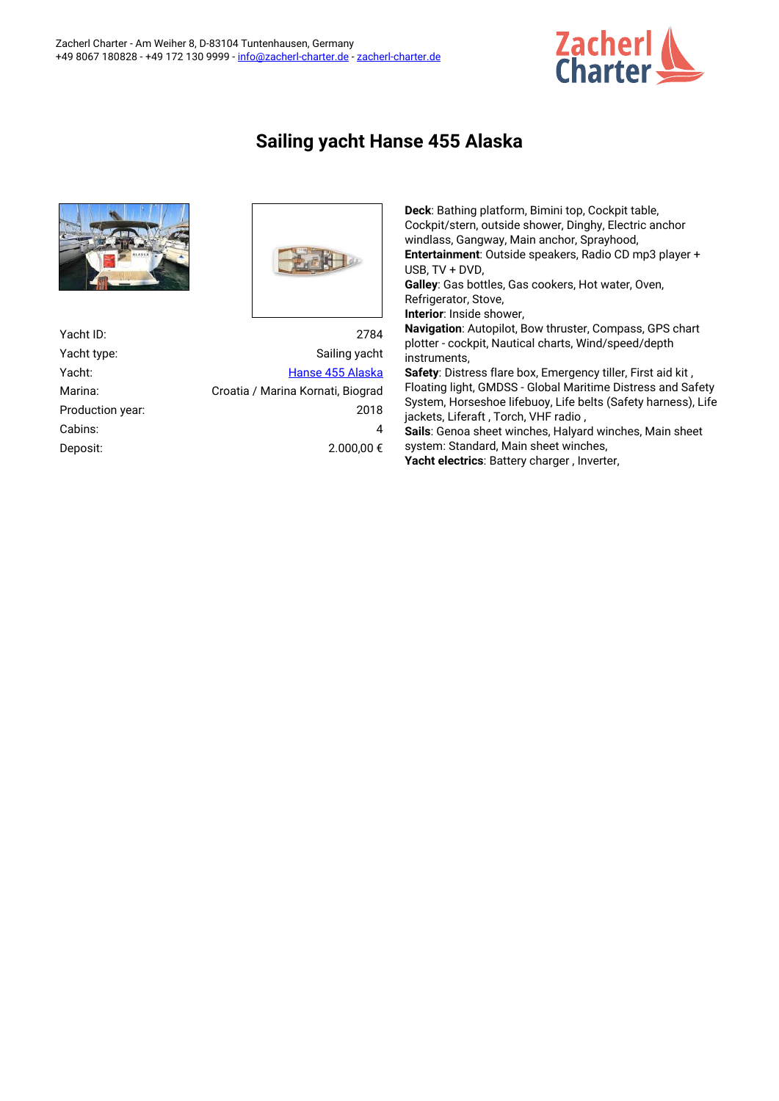

## **Sailing yacht Hanse 455 Alaska**



| Yacht ID:        | 2784                              |
|------------------|-----------------------------------|
| Yacht type:      | Sailing yacht                     |
| Yacht:           | Hanse 455 Alaska                  |
| Marina:          | Croatia / Marina Kornati, Biograd |
| Production year: | 2018                              |
| Cabins:          | 4                                 |
| Deposit:         | 2.000.00 €                        |

**Deck**: Bathing platform, Bimini top, Cockpit table, Cockpit/stern, outside shower, Dinghy, Electric anchor windlass, Gangway, Main anchor, Sprayhood, **Entertainment**: Outside speakers, Radio CD mp3 player + USB, TV + DVD, **Galley**: Gas bottles, Gas cookers, Hot water, Oven, Refrigerator, Stove, **Interior**: Inside shower, **Navigation**: Autopilot, Bow thruster, Compass, GPS chart plotter - cockpit, Nautical charts, Wind/speed/depth instruments, **Safety**: Distress flare box, Emergency tiller, First aid kit , Floating light, GMDSS - Global Maritime Distress and Safety System, Horseshoe lifebuoy, Life belts (Safety harness), Life jackets, Liferaft , Torch, VHF radio , **Sails**: Genoa sheet winches, Halyard winches, Main sheet system: Standard, Main sheet winches, **Yacht electrics**: Battery charger , Inverter,